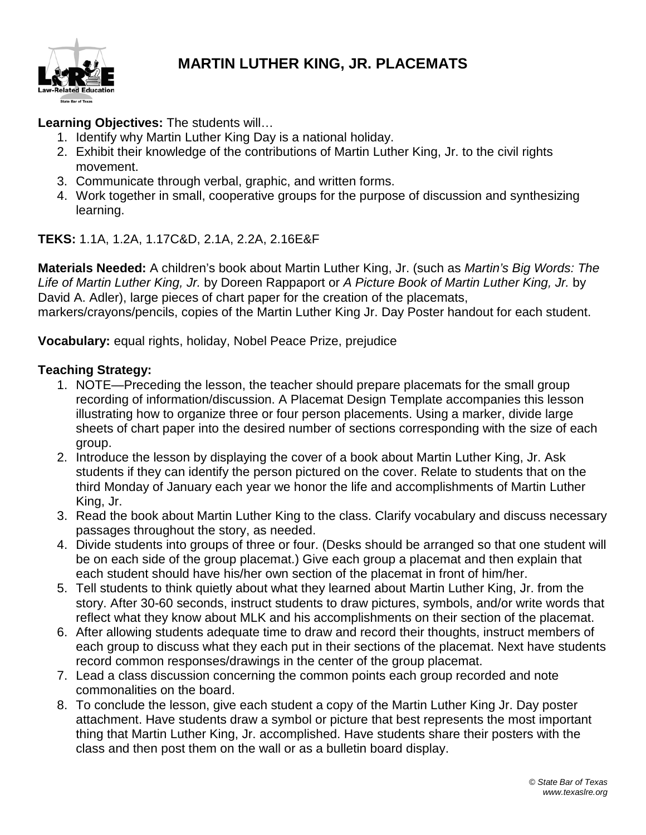

## **MARTIN LUTHER KING, JR. PLACEMATS**

**Learning Objectives:** The students will…

- 1. Identify why Martin Luther King Day is a national holiday.
- 2. Exhibit their knowledge of the contributions of Martin Luther King, Jr. to the civil rights movement.
- 3. Communicate through verbal, graphic, and written forms.
- 4. Work together in small, cooperative groups for the purpose of discussion and synthesizing learning.

**TEKS:** 1.1A, 1.2A, 1.17C&D, 2.1A, 2.2A, 2.16E&F

**Materials Needed:** A children's book about Martin Luther King, Jr. (such as *Martin's Big Words: The Life of Martin Luther King, Jr.* by Doreen Rappaport or *A Picture Book of Martin Luther King, Jr.* by David A. Adler), large pieces of chart paper for the creation of the placemats, markers/crayons/pencils, copies of the Martin Luther King Jr. Day Poster handout for each student.

**Vocabulary:** equal rights, holiday, Nobel Peace Prize, prejudice

## **Teaching Strategy:**

- 1. NOTE—Preceding the lesson, the teacher should prepare placemats for the small group recording of information/discussion. A Placemat Design Template accompanies this lesson illustrating how to organize three or four person placements. Using a marker, divide large sheets of chart paper into the desired number of sections corresponding with the size of each group.
- 2. Introduce the lesson by displaying the cover of a book about Martin Luther King, Jr. Ask students if they can identify the person pictured on the cover. Relate to students that on the third Monday of January each year we honor the life and accomplishments of Martin Luther King, Jr.
- 3. Read the book about Martin Luther King to the class. Clarify vocabulary and discuss necessary passages throughout the story, as needed.
- 4. Divide students into groups of three or four. (Desks should be arranged so that one student will be on each side of the group placemat.) Give each group a placemat and then explain that each student should have his/her own section of the placemat in front of him/her.
- 5. Tell students to think quietly about what they learned about Martin Luther King, Jr. from the story. After 30-60 seconds, instruct students to draw pictures, symbols, and/or write words that reflect what they know about MLK and his accomplishments on their section of the placemat.
- 6. After allowing students adequate time to draw and record their thoughts, instruct members of each group to discuss what they each put in their sections of the placemat. Next have students record common responses/drawings in the center of the group placemat.
- 7. Lead a class discussion concerning the common points each group recorded and note commonalities on the board.
- 8. To conclude the lesson, give each student a copy of the Martin Luther King Jr. Day poster attachment. Have students draw a symbol or picture that best represents the most important thing that Martin Luther King, Jr. accomplished. Have students share their posters with the class and then post them on the wall or as a bulletin board display.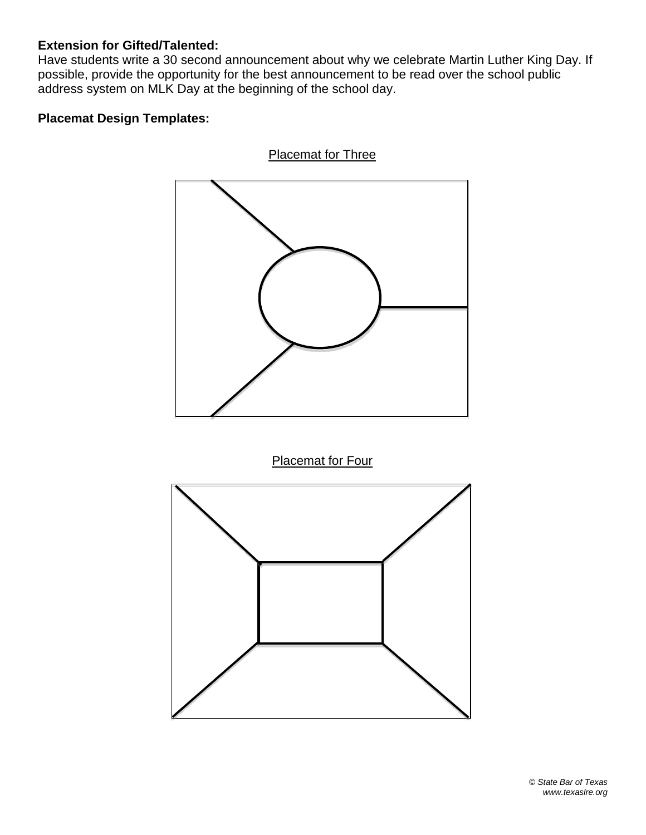## **Extension for Gifted/Talented:**

Have students write a 30 second announcement about why we celebrate Martin Luther King Day. If possible, provide the opportunity for the best announcement to be read over the school public address system on MLK Day at the beginning of the school day.

## **Placemat Design Templates:**



© *State Bar of Texas www.texaslre.org*